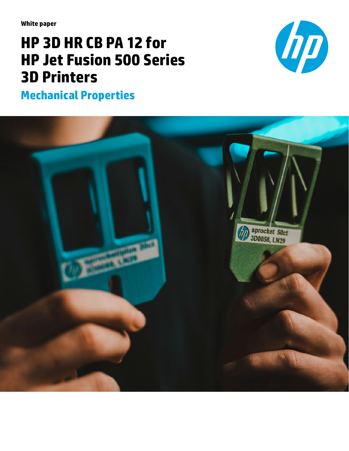**White paper**

# **HP 3D HR CB PA 12 for HP Jet Fusion 500 Series 3D Printers**

**Mechanical Properties**



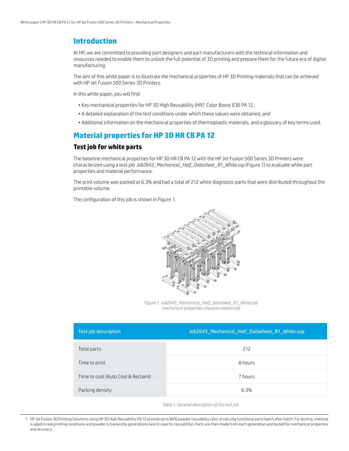## **Introduction**

At HP, we are committed to providing part designers and part manufacturers with the technical information and resources needed to enable them to unlock the full potential of 3D printing and prepare them for the future era of digital manufacturing.

The aim of this white paper is to illustrate the mechanical properties of HP 3D Printing materials that can be achieved with HP Jet Fusion 500 Series 3D Printers.

In this white paper, you will find:

- Key mechanical properties for HP 3D High Reusability (HR)<sup>1</sup> Color Boost (CB) PA 12,
- A detailed explanation of the test conditions under which these values were obtained, and
- Additional information on the mechanical properties of thermoplastic materials, and a glossary of key terms used.

## **Material properties for HP 3D HR CB PA 12**

#### **Test job for white parts**

The baseline mechanical properties for HP 3D HR CB PA 12 with the HP Jet Fusion 500 Series 3D Printers were characterized using a test job *Job2643\_Mechanical\_Half\_Datasheet\_R1\_White.ssp* (Figure 1) to evaluate white part properties and material performance.

The print volume was packed at 6.3% and had a total of 212 white diagnostic parts that were distributed throughout the printable volume.

The configuration of this job is shown in Figure 1.



*Figure 1. Job2643\_Mechanical\_Half\_Datasheet\_R1\_White.ssp mechanical properties characterization job*

| <b>Test job description</b>        | Job2643_Mechanical_Half_Datasheet_R1_White.ssp |
|------------------------------------|------------------------------------------------|
| Total parts                        | 212                                            |
| Time to print                      | 8 hours                                        |
| Time to cool (Auto Cool & Reclaim) | 7 hours                                        |
| Packing density                    | 6.3%                                           |

*Table 1. General description of the test job*

1. HP Jet Fusion 3D Printing Solutions using HP 3D High Reusability PA 12 provide up to 80% powder reusability ratio, producing functional parts batch after batch. For testing, material is aged in real printing conditions and powder is tracked by generations (worst case for reusability). Parts are then made from each generation and tested for mechanical properties and accuracy.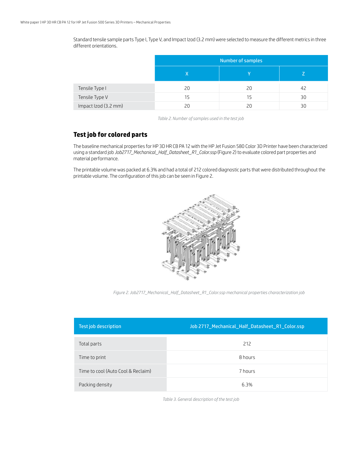Standard tensile sample parts Type I, Type V, and Impact Izod (3.2 mm) were selected to measure the different metrics in three different orientations.

|                      | Number of samples |    |    |
|----------------------|-------------------|----|----|
|                      |                   |    |    |
| Tensile Type I       | 20                | 20 | 42 |
| Tensile Type V       | 15                | 15 | 30 |
| Impact Izod (3.2 mm) |                   | 2Ο | 30 |

*Table 2. Number of samples used in the test job*

#### **Test job for colored parts**

The baseline mechanical properties for HP 3D HR CB PA 12 with the HP Jet Fusion 580 Color 3D Printer have been characterized using a standard job *Job2717\_Mechanical\_Half\_Datasheet\_R1\_Color.ssp* (Figure 2) to evaluate colored part properties and material performance.

The printable volume was packed at 6.3% and had a total of 212 colored diagnostic parts that were distributed throughout the printable volume. The configuration of this job can be seen in Figure 2.



*Figure 2. Job2717\_Mechanical\_Half\_Datasheet\_R1\_Color.ssp mechanical properties characterization job*

| <b>Test job description</b>        | Job 2717_Mechanical_Half_Datasheet_R1_Color.ssp |
|------------------------------------|-------------------------------------------------|
| Total parts                        | 212                                             |
| Time to print                      | 8 hours                                         |
| Time to cool (Auto Cool & Reclaim) | 7 hours                                         |
| Packing density                    | 6.3%                                            |

*Table 3. General description of the test job*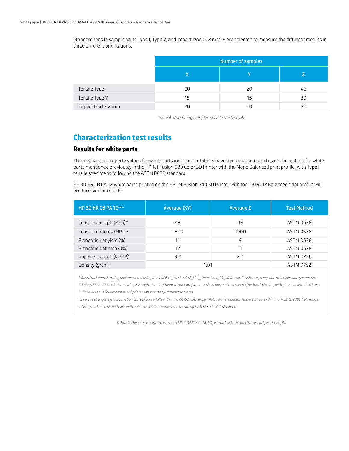Standard tensile sample parts Type I, Type V, and Impact Izod (3.2 mm) were selected to measure the different metrics in three different orientations.

|                    | Number of samples |    |    |
|--------------------|-------------------|----|----|
|                    |                   |    |    |
| Tensile Type I     | 20                | 20 | 42 |
| Tensile Type V     | 15                | 15 | 30 |
| Impact Izod 3.2 mm | 20                |    | 30 |

*Table 4. Number of samples used in the test job*

## **Characterization test results**

#### **Results for white parts**

The mechanical property values for white parts indicated in Table 5 have been characterized using the test job for white parts mentioned previously in the HP Jet Fusion 580 Color 3D Printer with the Mono Balanced print profile, with Type I tensile specimens following the ASTM D638 standard.

HP 3D HR CB PA 12 white parts printed on the HP Jet Fusion 540 3D Printer with the CB PA 12 Balanced print profile will produce similar results.

| HP 3D HR CB PA 12 <sup>11111</sup>                | Average (XY) | Average Z | <b>Test Method</b> |
|---------------------------------------------------|--------------|-----------|--------------------|
| Tensile strength (MPa) <sup>iv</sup>              | 49           | 49        | ASTM D638          |
| Tensile modulus (MPa)iv                           | 1800         | 1900      | ASTM D638          |
| Elongation at yield (%)                           | 11           | 9         | ASTM D638          |
| Elongation at break (%)                           | 17           |           | ASTM D638          |
| Impact strength (kJ/m <sup>2</sup> ) <sup>v</sup> | 3.2          | 7.7       | ASTM D256          |
| Density (g/cm <sup>3</sup> )                      | 1.01         |           | ASTM D792          |

*i. Based on internal testing and measured using the Job2643\_Mechanical\_Half\_Datasheet\_R1\_White.ssp. Results may vary with other jobs and geometries.*

*ii. Using HP 3D HR CB PA 12 material, 20% refresh ratio, Balanced print profile, natural cooling and measured after bead-blasting with glass beads at 5-6 bars.*

*iii. Following all HP-recommended printer setup and adjustment processes.*

*iv. Tensile strength typical variation (95% of parts) falls within the 46-53 MPa range, while tensile modulus values remain within the 1650 to 2300 MPa range.*

*v. Using the Izod test method A with notched @ 3.2 mm specimen according to the ASTM D256 standard.*

*Table 5. Results for white parts in HP 3D HR CB PA 12 printed with Mono Balanced print profile*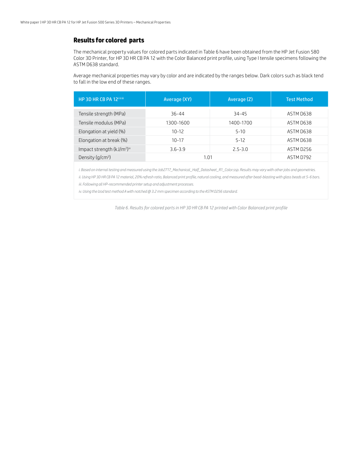#### **Results for colored parts**

The mechanical property values for colored parts indicated in Table 6 have been obtained from the HP Jet Fusion 580 Color 3D Printer, for HP 3D HR CB PA 12 with the Color Balanced print profile, using Type I tensile specimens following the ASTM D638 standard.

Average mechanical properties may vary by color and are indicated by the ranges below. Dark colors such as black tend to fall in the low end of these ranges.

| HP 3D HR CB PA 12 <sup>11111</sup>    | Average (XY) | Average (Z) | <b>Test Method</b> |
|---------------------------------------|--------------|-------------|--------------------|
| Tensile strength (MPa)                | 36-44        | 34-45       | ASTM D638          |
| Tensile modulus (MPa)                 | 1300-1600    | 1400-1700   | ASTM D638          |
| Elongation at yield (%)               | $10 - 12$    | $5 - 10$    | ASTM D638          |
| Elongation at break (%)               | $10 - 17$    | $5 - 12$    | ASTM D638          |
| Impact strength (kJ/m <sup>2)iv</sup> | $3.6 - 3.9$  | $2.5 - 3.0$ | ASTM D256          |
| Density $(q/cm^3)$                    | 1.01         |             | ASTM D792          |

*i. Based on internal testing and measured using the Job2717\_Mechanical\_Half\_Datasheet\_R1\_Color.ssp. Results may vary with other jobs and geometries.*

*ii. Using HP 3D HR CB PA 12 material, 20% refresh ratio, Balanced print profile, natural cooling, and measured after bead-blasting with glass beads at 5-6 bars. iii. Following all HP-recommended printer setup and adjustment processes.*

*iv. Using the Izod test method A with notched @ 3.2 mm specimen according to the ASTM D256 standard.*

*Table 6. Results for colored parts in HP 3D HR CB PA 12 printed with Color Balanced print profile*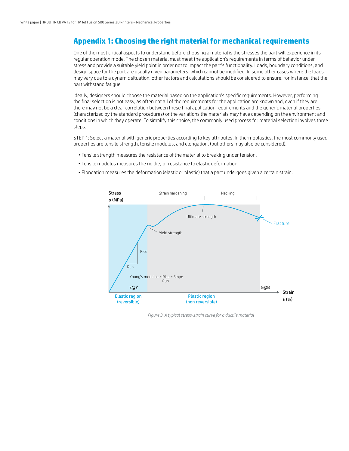## **Appendix 1: Choosing the right material for mechanical requirements**

One of the most critical aspects to understand before choosing a material is the stresses the part will experience in its regular operation mode. The chosen material must meet the application's requirements in terms of behavior under stress and provide a suitable yield point in order not to impact the part's functionality. Loads, boundary conditions, and design space for the part are usually given parameters, which cannot be modified. In some other cases where the loads may vary due to a dynamic situation, other factors and calculations should be considered to ensure, for instance, that the part withstand fatigue.

Ideally, designers should choose the material based on the application's specific requirements. However, performing the final selection is not easy, as often not all of the requirements for the application are known and, even if they are, there may not be a clear correlation between these final application requirements and the generic material properties (characterized by the standard procedures) or the variations the materials may have depending on the environment and conditions in which they operate. To simplify this choice, the commonly used process for material selection involves three steps:

STEP 1: Select a material with generic properties according to key attributes. In thermoplastics, the most commonly used properties are tensile strength, tensile modulus, and elongation, (but others may also be considered).

- Tensile strength measures the resistance of the material to breaking under tension.
- Tensile modulus measures the rigidity or resistance to elastic deformation.
- Elongation measures the deformation (elastic or plastic) that a part undergoes given a certain strain.



*Figure 3. A typical stress-strain curve for a ductile material*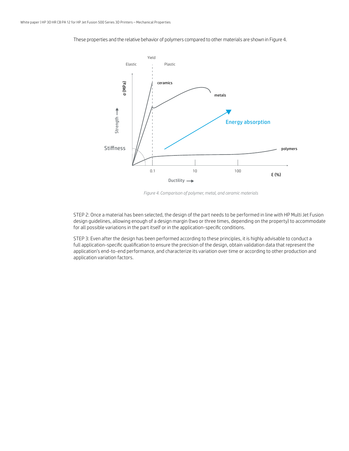

These properties and the relative behavior of polymers compared to other materials are shown in Figure 4.

*Figure 4. Comparison of polymer, metal, and ceramic materials*

STEP 2: Once a material has been selected, the design of the part needs to be performed in line with HP Multi Jet Fusion design guidelines, allowing enough of a design margin (two or three times, depending on the property) to accommodate for all possible variations in the part itself or in the application-specific conditions.

STEP 3: Even after the design has been performed according to these principles, it is highly advisable to conduct a full application-specific qualification to ensure the precision of the design, obtain validation data that represent the application's end-to-end performance, and characterize its variation over time or according to other production and application variation factors.